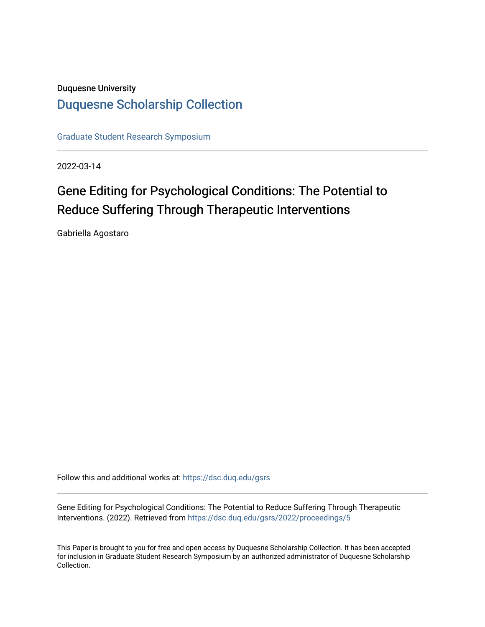# Duquesne University [Duquesne Scholarship Collection](https://dsc.duq.edu/)

[Graduate Student Research Symposium](https://dsc.duq.edu/gsrs)

2022-03-14

# Gene Editing for Psychological Conditions: The Potential to Reduce Suffering Through Therapeutic Interventions

Gabriella Agostaro

Follow this and additional works at: [https://dsc.duq.edu/gsrs](https://dsc.duq.edu/gsrs?utm_source=dsc.duq.edu%2Fgsrs%2F2022%2Fproceedings%2F5&utm_medium=PDF&utm_campaign=PDFCoverPages)

Gene Editing for Psychological Conditions: The Potential to Reduce Suffering Through Therapeutic Interventions. (2022). Retrieved from [https://dsc.duq.edu/gsrs/2022/proceedings/5](https://dsc.duq.edu/gsrs/2022/proceedings/5?utm_source=dsc.duq.edu%2Fgsrs%2F2022%2Fproceedings%2F5&utm_medium=PDF&utm_campaign=PDFCoverPages) 

This Paper is brought to you for free and open access by Duquesne Scholarship Collection. It has been accepted for inclusion in Graduate Student Research Symposium by an authorized administrator of Duquesne Scholarship Collection.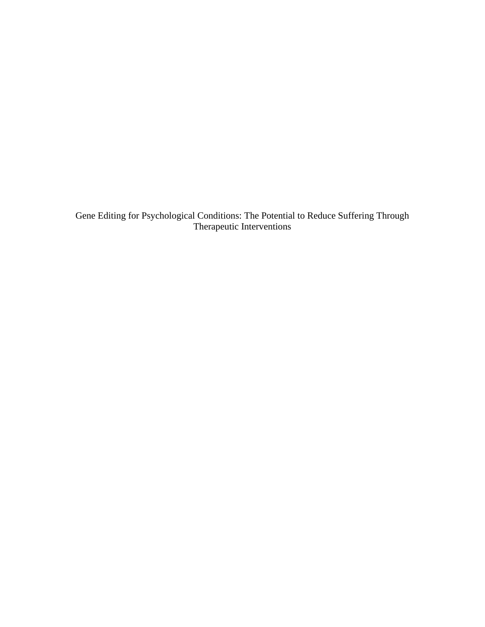Gene Editing for Psychological Conditions: The Potential to Reduce Suffering Through Therapeutic Interventions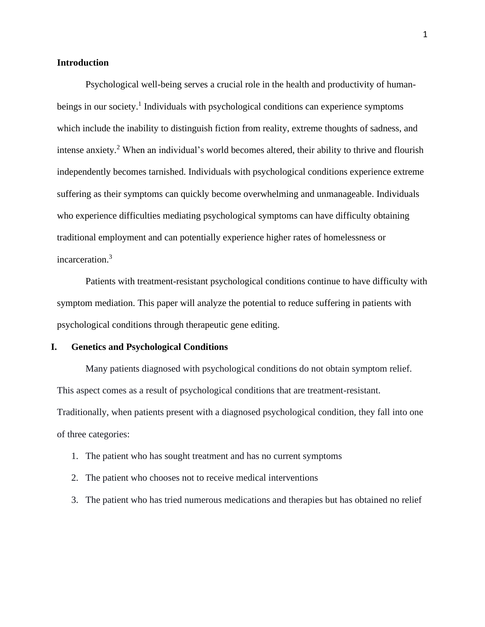#### **Introduction**

Psychological well-being serves a crucial role in the health and productivity of humanbeings in our society.<sup>1</sup> Individuals with psychological conditions can experience symptoms which include the inability to distinguish fiction from reality, extreme thoughts of sadness, and intense anxiety. <sup>2</sup> When an individual's world becomes altered, their ability to thrive and flourish independently becomes tarnished. Individuals with psychological conditions experience extreme suffering as their symptoms can quickly become overwhelming and unmanageable. Individuals who experience difficulties mediating psychological symptoms can have difficulty obtaining traditional employment and can potentially experience higher rates of homelessness or incarceration.<sup>3</sup>

Patients with treatment-resistant psychological conditions continue to have difficulty with symptom mediation. This paper will analyze the potential to reduce suffering in patients with psychological conditions through therapeutic gene editing.

# **I. Genetics and Psychological Conditions**

Many patients diagnosed with psychological conditions do not obtain symptom relief. This aspect comes as a result of psychological conditions that are treatment-resistant. Traditionally, when patients present with a diagnosed psychological condition, they fall into one of three categories:

- 1. The patient who has sought treatment and has no current symptoms
- 2. The patient who chooses not to receive medical interventions
- 3. The patient who has tried numerous medications and therapies but has obtained no relief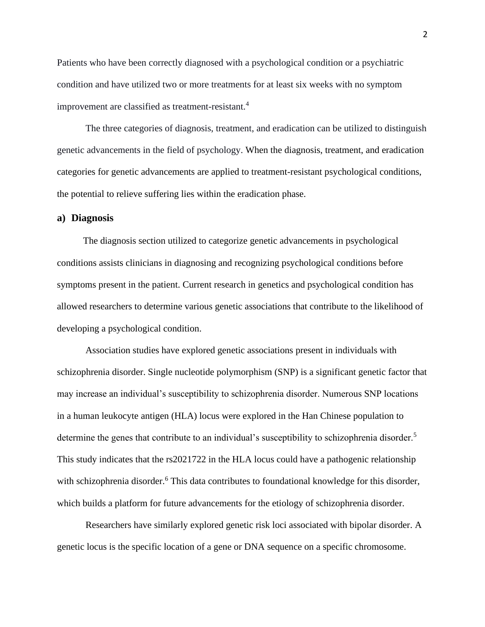Patients who have been correctly diagnosed with a psychological condition or a psychiatric condition and have utilized two or more treatments for at least six weeks with no symptom improvement are classified as treatment-resistant.<sup>4</sup>

The three categories of diagnosis, treatment, and eradication can be utilized to distinguish genetic advancements in the field of psychology. When the diagnosis, treatment, and eradication categories for genetic advancements are applied to treatment-resistant psychological conditions, the potential to relieve suffering lies within the eradication phase.

#### **a) Diagnosis**

 The diagnosis section utilized to categorize genetic advancements in psychological conditions assists clinicians in diagnosing and recognizing psychological conditions before symptoms present in the patient. Current research in genetics and psychological condition has allowed researchers to determine various genetic associations that contribute to the likelihood of developing a psychological condition.

Association studies have explored genetic associations present in individuals with schizophrenia disorder. Single nucleotide polymorphism (SNP) is a significant genetic factor that may increase an individual's susceptibility to schizophrenia disorder. Numerous SNP locations in a human leukocyte antigen (HLA) locus were explored in the Han Chinese population to determine the genes that contribute to an individual's susceptibility to schizophrenia disorder.<sup>5</sup> This study indicates that the rs2021722 in the HLA locus could have a pathogenic relationship with schizophrenia disorder.<sup>6</sup> This data contributes to foundational knowledge for this disorder, which builds a platform for future advancements for the etiology of schizophrenia disorder.

Researchers have similarly explored genetic risk loci associated with bipolar disorder. A genetic locus is the specific location of a gene or DNA sequence on a specific chromosome.

2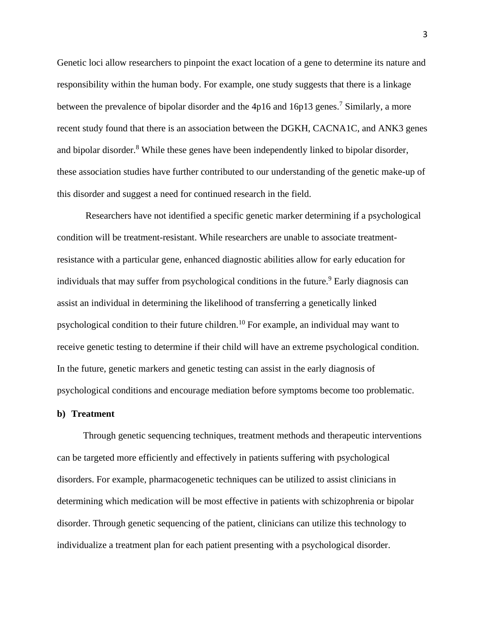Genetic loci allow researchers to pinpoint the exact location of a gene to determine its nature and responsibility within the human body. For example, one study suggests that there is a linkage between the prevalence of bipolar disorder and the 4p16 and 16p13 genes.<sup>7</sup> Similarly, a more recent study found that there is an association between the DGKH, CACNA1C, and ANK3 genes and bipolar disorder.<sup>8</sup> While these genes have been independently linked to bipolar disorder, these association studies have further contributed to our understanding of the genetic make-up of this disorder and suggest a need for continued research in the field.

Researchers have not identified a specific genetic marker determining if a psychological condition will be treatment-resistant. While researchers are unable to associate treatmentresistance with a particular gene, enhanced diagnostic abilities allow for early education for individuals that may suffer from psychological conditions in the future.<sup>9</sup> Early diagnosis can assist an individual in determining the likelihood of transferring a genetically linked psychological condition to their future children.<sup>10</sup> For example, an individual may want to receive genetic testing to determine if their child will have an extreme psychological condition. In the future, genetic markers and genetic testing can assist in the early diagnosis of psychological conditions and encourage mediation before symptoms become too problematic.

#### **b) Treatment**

 Through genetic sequencing techniques, treatment methods and therapeutic interventions can be targeted more efficiently and effectively in patients suffering with psychological disorders. For example, pharmacogenetic techniques can be utilized to assist clinicians in determining which medication will be most effective in patients with schizophrenia or bipolar disorder. Through genetic sequencing of the patient, clinicians can utilize this technology to individualize a treatment plan for each patient presenting with a psychological disorder.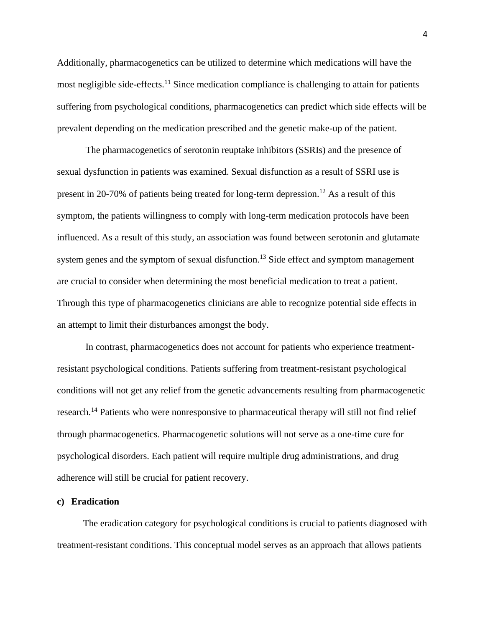Additionally, pharmacogenetics can be utilized to determine which medications will have the most negligible side-effects.<sup>11</sup> Since medication compliance is challenging to attain for patients suffering from psychological conditions, pharmacogenetics can predict which side effects will be prevalent depending on the medication prescribed and the genetic make-up of the patient.

The pharmacogenetics of serotonin reuptake inhibitors (SSRIs) and the presence of sexual dysfunction in patients was examined. Sexual disfunction as a result of SSRI use is present in 20-70% of patients being treated for long-term depression.<sup>12</sup> As a result of this symptom, the patients willingness to comply with long-term medication protocols have been influenced. As a result of this study, an association was found between serotonin and glutamate system genes and the symptom of sexual disfunction.<sup>13</sup> Side effect and symptom management are crucial to consider when determining the most beneficial medication to treat a patient. Through this type of pharmacogenetics clinicians are able to recognize potential side effects in an attempt to limit their disturbances amongst the body.

In contrast, pharmacogenetics does not account for patients who experience treatmentresistant psychological conditions. Patients suffering from treatment-resistant psychological conditions will not get any relief from the genetic advancements resulting from pharmacogenetic research.<sup>14</sup> Patients who were nonresponsive to pharmaceutical therapy will still not find relief through pharmacogenetics. Pharmacogenetic solutions will not serve as a one-time cure for psychological disorders. Each patient will require multiple drug administrations, and drug adherence will still be crucial for patient recovery.

#### **c) Eradication**

 The eradication category for psychological conditions is crucial to patients diagnosed with treatment-resistant conditions. This conceptual model serves as an approach that allows patients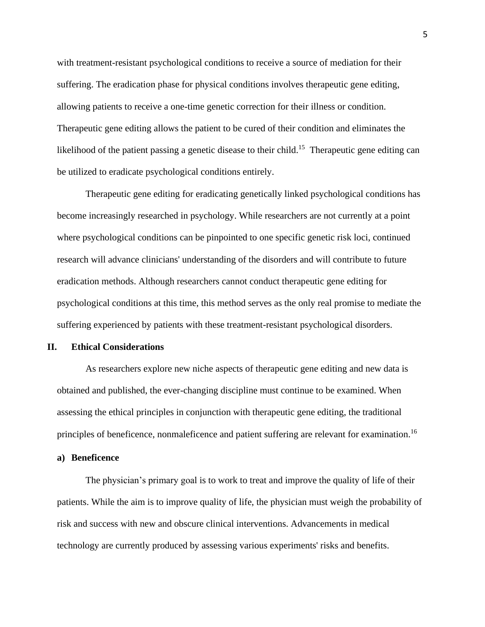with treatment-resistant psychological conditions to receive a source of mediation for their suffering. The eradication phase for physical conditions involves therapeutic gene editing, allowing patients to receive a one-time genetic correction for their illness or condition. Therapeutic gene editing allows the patient to be cured of their condition and eliminates the likelihood of the patient passing a genetic disease to their child.<sup>15</sup> Therapeutic gene editing can be utilized to eradicate psychological conditions entirely.

Therapeutic gene editing for eradicating genetically linked psychological conditions has become increasingly researched in psychology. While researchers are not currently at a point where psychological conditions can be pinpointed to one specific genetic risk loci, continued research will advance clinicians' understanding of the disorders and will contribute to future eradication methods. Although researchers cannot conduct therapeutic gene editing for psychological conditions at this time, this method serves as the only real promise to mediate the suffering experienced by patients with these treatment-resistant psychological disorders.

#### **II. Ethical Considerations**

As researchers explore new niche aspects of therapeutic gene editing and new data is obtained and published, the ever-changing discipline must continue to be examined. When assessing the ethical principles in conjunction with therapeutic gene editing, the traditional principles of beneficence, nonmaleficence and patient suffering are relevant for examination.<sup>16</sup>

# **a) Beneficence**

The physician's primary goal is to work to treat and improve the quality of life of their patients. While the aim is to improve quality of life, the physician must weigh the probability of risk and success with new and obscure clinical interventions. Advancements in medical technology are currently produced by assessing various experiments' risks and benefits.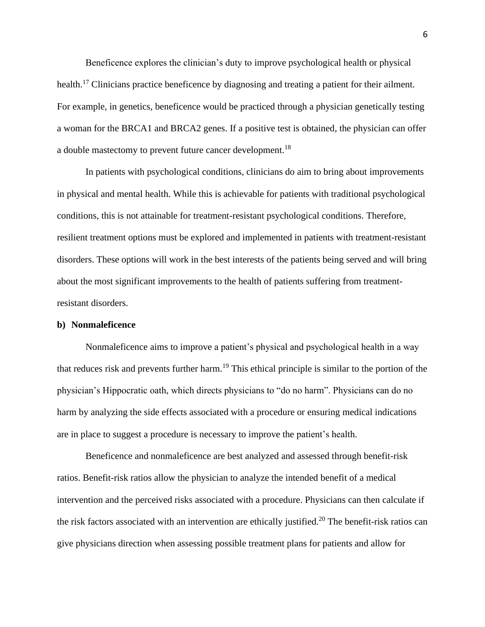Beneficence explores the clinician's duty to improve psychological health or physical health.<sup>17</sup> Clinicians practice beneficence by diagnosing and treating a patient for their ailment. For example, in genetics, beneficence would be practiced through a physician genetically testing a woman for the BRCA1 and BRCA2 genes. If a positive test is obtained, the physician can offer a double mastectomy to prevent future cancer development.<sup>18</sup>

In patients with psychological conditions, clinicians do aim to bring about improvements in physical and mental health. While this is achievable for patients with traditional psychological conditions, this is not attainable for treatment-resistant psychological conditions. Therefore, resilient treatment options must be explored and implemented in patients with treatment-resistant disorders. These options will work in the best interests of the patients being served and will bring about the most significant improvements to the health of patients suffering from treatmentresistant disorders.

# **b) Nonmaleficence**

Nonmaleficence aims to improve a patient's physical and psychological health in a way that reduces risk and prevents further harm.<sup>19</sup> This ethical principle is similar to the portion of the physician's Hippocratic oath, which directs physicians to "do no harm". Physicians can do no harm by analyzing the side effects associated with a procedure or ensuring medical indications are in place to suggest a procedure is necessary to improve the patient's health.

Beneficence and nonmaleficence are best analyzed and assessed through benefit-risk ratios. Benefit-risk ratios allow the physician to analyze the intended benefit of a medical intervention and the perceived risks associated with a procedure. Physicians can then calculate if the risk factors associated with an intervention are ethically justified.<sup>20</sup> The benefit-risk ratios can give physicians direction when assessing possible treatment plans for patients and allow for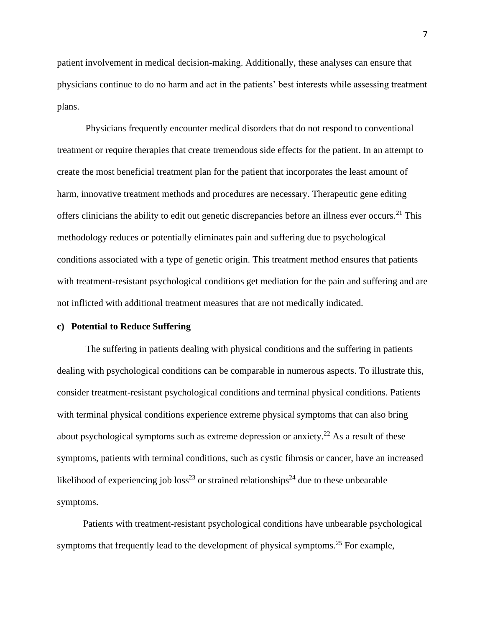patient involvement in medical decision-making. Additionally, these analyses can ensure that physicians continue to do no harm and act in the patients' best interests while assessing treatment plans.

Physicians frequently encounter medical disorders that do not respond to conventional treatment or require therapies that create tremendous side effects for the patient. In an attempt to create the most beneficial treatment plan for the patient that incorporates the least amount of harm, innovative treatment methods and procedures are necessary. Therapeutic gene editing offers clinicians the ability to edit out genetic discrepancies before an illness ever occurs.<sup>21</sup> This methodology reduces or potentially eliminates pain and suffering due to psychological conditions associated with a type of genetic origin. This treatment method ensures that patients with treatment-resistant psychological conditions get mediation for the pain and suffering and are not inflicted with additional treatment measures that are not medically indicated.

# **c) Potential to Reduce Suffering**

The suffering in patients dealing with physical conditions and the suffering in patients dealing with psychological conditions can be comparable in numerous aspects. To illustrate this, consider treatment-resistant psychological conditions and terminal physical conditions. Patients with terminal physical conditions experience extreme physical symptoms that can also bring about psychological symptoms such as extreme depression or anxiety.<sup>22</sup> As a result of these symptoms, patients with terminal conditions, such as cystic fibrosis or cancer, have an increased likelihood of experiencing job  $loss^{23}$  or strained relationships<sup>24</sup> due to these unbearable symptoms.

 Patients with treatment-resistant psychological conditions have unbearable psychological symptoms that frequently lead to the development of physical symptoms.<sup>25</sup> For example,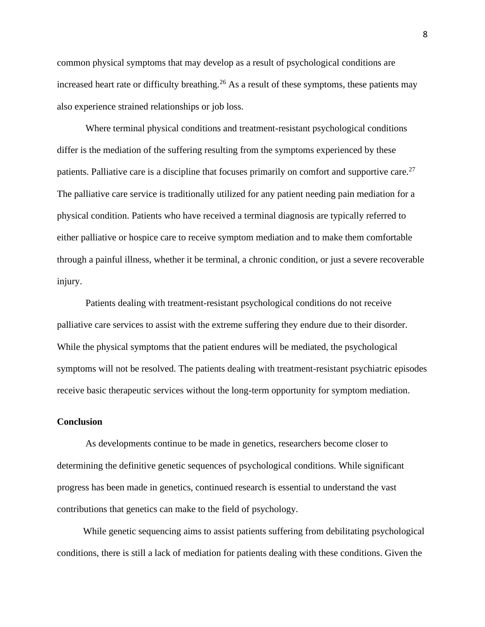common physical symptoms that may develop as a result of psychological conditions are increased heart rate or difficulty breathing.<sup>26</sup> As a result of these symptoms, these patients may also experience strained relationships or job loss.

Where terminal physical conditions and treatment-resistant psychological conditions differ is the mediation of the suffering resulting from the symptoms experienced by these patients. Palliative care is a discipline that focuses primarily on comfort and supportive care.<sup>27</sup> The palliative care service is traditionally utilized for any patient needing pain mediation for a physical condition. Patients who have received a terminal diagnosis are typically referred to either palliative or hospice care to receive symptom mediation and to make them comfortable through a painful illness, whether it be terminal, a chronic condition, or just a severe recoverable injury.

Patients dealing with treatment-resistant psychological conditions do not receive palliative care services to assist with the extreme suffering they endure due to their disorder. While the physical symptoms that the patient endures will be mediated, the psychological symptoms will not be resolved. The patients dealing with treatment-resistant psychiatric episodes receive basic therapeutic services without the long-term opportunity for symptom mediation.

#### **Conclusion**

As developments continue to be made in genetics, researchers become closer to determining the definitive genetic sequences of psychological conditions. While significant progress has been made in genetics, continued research is essential to understand the vast contributions that genetics can make to the field of psychology.

 While genetic sequencing aims to assist patients suffering from debilitating psychological conditions, there is still a lack of mediation for patients dealing with these conditions. Given the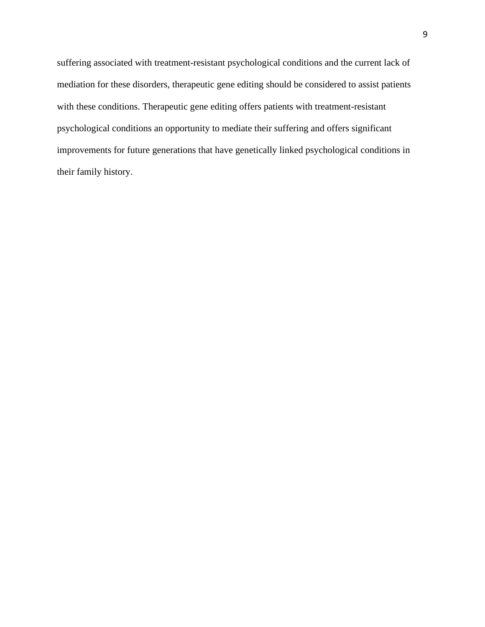suffering associated with treatment-resistant psychological conditions and the current lack of mediation for these disorders, therapeutic gene editing should be considered to assist patients with these conditions. Therapeutic gene editing offers patients with treatment-resistant psychological conditions an opportunity to mediate their suffering and offers significant improvements for future generations that have genetically linked psychological conditions in their family history.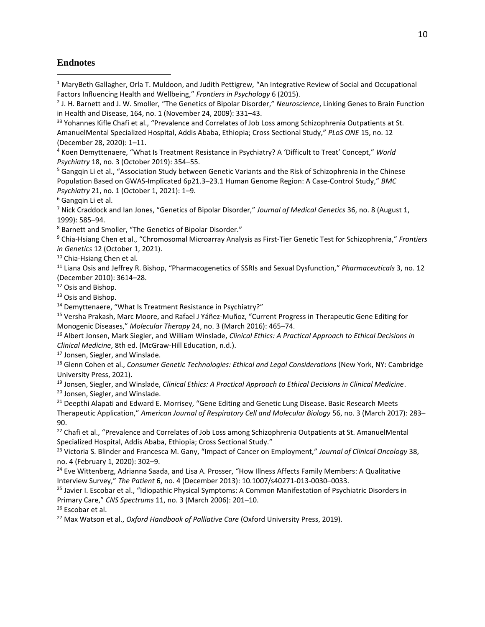## **Endnotes**

<sup>1</sup> MaryBeth Gallagher, Orla T. Muldoon, and Judith Pettigrew, "An Integrative Review of Social and Occupational Factors Influencing Health and Wellbeing," *Frontiers in Psychology* 6 (2015).

<sup>4</sup> Koen Demyttenaere, "What Is Treatment Resistance in Psychiatry? A 'Difficult to Treat' Concept," *World Psychiatry* 18, no. 3 (October 2019): 354–55.

<sup>5</sup> Gangqin Li et al., "Association Study between Genetic Variants and the Risk of Schizophrenia in the Chinese Population Based on GWAS-Implicated 6p21.3–23.1 Human Genome Region: A Case-Control Study," *BMC Psychiatry* 21, no. 1 (October 1, 2021): 1–9.

<sup>7</sup> Nick Craddock and Ian Jones, "Genetics of Bipolar Disorder," *Journal of Medical Genetics* 36, no. 8 (August 1, 1999): 585–94.

<sup>8</sup> Barnett and Smoller, "The Genetics of Bipolar Disorder."

<sup>9</sup> Chia-Hsiang Chen et al., "Chromosomal Microarray Analysis as First-Tier Genetic Test for Schizophrenia," *Frontiers in Genetics* 12 (October 1, 2021).

<sup>10</sup> Chia-Hsiang Chen et al.

<sup>11</sup> Liana Osis and Jeffrey R. Bishop, "Pharmacogenetics of SSRIs and Sexual Dysfunction," *Pharmaceuticals* 3, no. 12 (December 2010): 3614–28.

<sup>12</sup> Osis and Bishop.

<sup>13</sup> Osis and Bishop.

<sup>14</sup> Demyttenaere, "What Is Treatment Resistance in Psychiatry?"

<sup>15</sup> Versha Prakash, Marc Moore, and Rafael J Yáñez-Muñoz, "Current Progress in Therapeutic Gene Editing for Monogenic Diseases," *Molecular Therapy* 24, no. 3 (March 2016): 465–74.

<sup>16</sup> Albert Jonsen, Mark Siegler, and William Winslade, *Clinical Ethics: A Practical Approach to Ethical Decisions in Clinical Medicine*, 8th ed. (McGraw-Hill Education, n.d.).

<sup>17</sup> Jonsen, Siegler, and Winslade.

<sup>18</sup> Glenn Cohen et al., *Consumer Genetic Technologies: Ethical and Legal Considerations* (New York, NY: Cambridge University Press, 2021).

<sup>19</sup> Jonsen, Siegler, and Winslade, *Clinical Ethics: A Practical Approach to Ethical Decisions in Clinical Medicine*.

<sup>20</sup> Jonsen, Siegler, and Winslade.

<sup>21</sup> Deepthi Alapati and Edward E. Morrisey, "Gene Editing and Genetic Lung Disease. Basic Research Meets Therapeutic Application," *American Journal of Respiratory Cell and Molecular Biology* 56, no. 3 (March 2017): 283– 90.

<sup>22</sup> Chafi et al., "Prevalence and Correlates of Job Loss among Schizophrenia Outpatients at St. AmanuelMental Specialized Hospital, Addis Ababa, Ethiopia; Cross Sectional Study."

<sup>23</sup> Victoria S. Blinder and Francesca M. Gany, "Impact of Cancer on Employment," *Journal of Clinical Oncology* 38, no. 4 (February 1, 2020): 302–9.

<sup>24</sup> Eve Wittenberg, Adrianna Saada, and Lisa A. Prosser, "How Illness Affects Family Members: A Qualitative Interview Survey," *The Patient* 6, no. 4 (December 2013): 10.1007/s40271-013-0030–0033.

<sup>25</sup> Javier I. Escobar et al., "Idiopathic Physical Symptoms: A Common Manifestation of Psychiatric Disorders in Primary Care," *CNS Spectrums* 11, no. 3 (March 2006): 201–10.

<sup>26</sup> Escobar et al.

<sup>27</sup> Max Watson et al., *Oxford Handbook of Palliative Care* (Oxford University Press, 2019).

<sup>2</sup> J. H. Barnett and J. W. Smoller, "The Genetics of Bipolar Disorder," *Neuroscience*, Linking Genes to Brain Function in Health and Disease, 164, no. 1 (November 24, 2009): 331–43.

<sup>&</sup>lt;sup>33</sup> Yohannes Kifle Chafi et al., "Prevalence and Correlates of Job Loss among Schizophrenia Outpatients at St. AmanuelMental Specialized Hospital, Addis Ababa, Ethiopia; Cross Sectional Study," *PLoS ONE* 15, no. 12 (December 28, 2020): 1–11.

<sup>6</sup> Gangqin Li et al.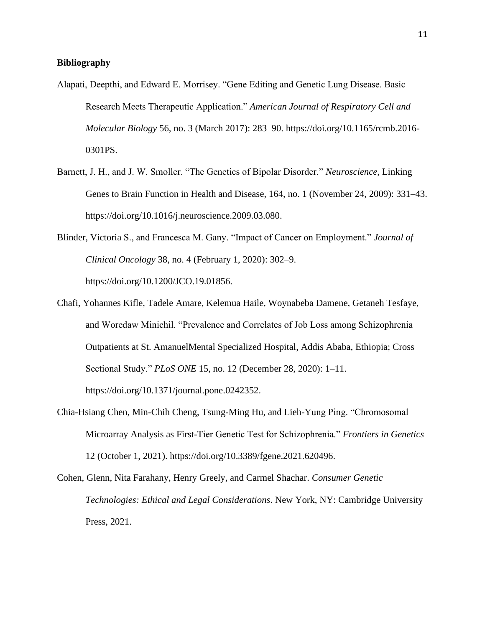# **Bibliography**

- Alapati, Deepthi, and Edward E. Morrisey. "Gene Editing and Genetic Lung Disease. Basic Research Meets Therapeutic Application." *American Journal of Respiratory Cell and Molecular Biology* 56, no. 3 (March 2017): 283–90. https://doi.org/10.1165/rcmb.2016- 0301PS.
- Barnett, J. H., and J. W. Smoller. "The Genetics of Bipolar Disorder." *Neuroscience*, Linking Genes to Brain Function in Health and Disease, 164, no. 1 (November 24, 2009): 331–43. https://doi.org/10.1016/j.neuroscience.2009.03.080.
- Blinder, Victoria S., and Francesca M. Gany. "Impact of Cancer on Employment." *Journal of Clinical Oncology* 38, no. 4 (February 1, 2020): 302–9. https://doi.org/10.1200/JCO.19.01856.
- Chafi, Yohannes Kifle, Tadele Amare, Kelemua Haile, Woynabeba Damene, Getaneh Tesfaye, and Woredaw Minichil. "Prevalence and Correlates of Job Loss among Schizophrenia Outpatients at St. AmanuelMental Specialized Hospital, Addis Ababa, Ethiopia; Cross Sectional Study." *PLoS ONE* 15, no. 12 (December 28, 2020): 1–11. https://doi.org/10.1371/journal.pone.0242352.
- Chia-Hsiang Chen, Min-Chih Cheng, Tsung-Ming Hu, and Lieh-Yung Ping. "Chromosomal Microarray Analysis as First-Tier Genetic Test for Schizophrenia." *Frontiers in Genetics* 12 (October 1, 2021). https://doi.org/10.3389/fgene.2021.620496.

Cohen, Glenn, Nita Farahany, Henry Greely, and Carmel Shachar. *Consumer Genetic Technologies: Ethical and Legal Considerations*. New York, NY: Cambridge University Press, 2021.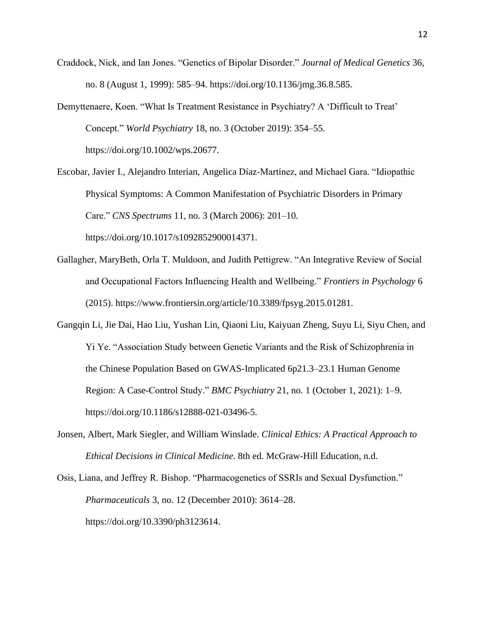- Craddock, Nick, and Ian Jones. "Genetics of Bipolar Disorder." *Journal of Medical Genetics* 36, no. 8 (August 1, 1999): 585–94. https://doi.org/10.1136/jmg.36.8.585.
- Demyttenaere, Koen. "What Is Treatment Resistance in Psychiatry? A 'Difficult to Treat' Concept." *World Psychiatry* 18, no. 3 (October 2019): 354–55. https://doi.org/10.1002/wps.20677.

Escobar, Javier I., Alejandro Interian, Angelica Díaz-Martínez, and Michael Gara. "Idiopathic Physical Symptoms: A Common Manifestation of Psychiatric Disorders in Primary Care." *CNS Spectrums* 11, no. 3 (March 2006): 201–10. https://doi.org/10.1017/s1092852900014371.

- Gallagher, MaryBeth, Orla T. Muldoon, and Judith Pettigrew. "An Integrative Review of Social and Occupational Factors Influencing Health and Wellbeing." *Frontiers in Psychology* 6 (2015). https://www.frontiersin.org/article/10.3389/fpsyg.2015.01281.
- Gangqin Li, Jie Dai, Hao Liu, Yushan Lin, Qiaoni Liu, Kaiyuan Zheng, Suyu Li, Siyu Chen, and Yi Ye. "Association Study between Genetic Variants and the Risk of Schizophrenia in the Chinese Population Based on GWAS-Implicated 6p21.3–23.1 Human Genome Region: A Case-Control Study." *BMC Psychiatry* 21, no. 1 (October 1, 2021): 1–9. https://doi.org/10.1186/s12888-021-03496-5.
- Jonsen, Albert, Mark Siegler, and William Winslade. *Clinical Ethics: A Practical Approach to Ethical Decisions in Clinical Medicine*. 8th ed. McGraw-Hill Education, n.d.

Osis, Liana, and Jeffrey R. Bishop. "Pharmacogenetics of SSRIs and Sexual Dysfunction." *Pharmaceuticals* 3, no. 12 (December 2010): 3614–28. https://doi.org/10.3390/ph3123614.